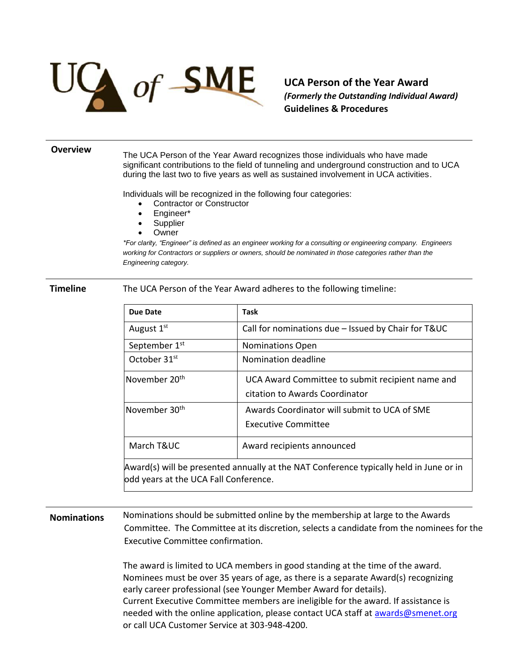

**UCA Person of the Year Award**  *(Formerly the Outstanding Individual Award)* **Guidelines & Procedures**

## **Overview**

The UCA Person of the Year Award recognizes those individuals who have made significant contributions to the field of tunneling and underground construction and to UCA during the last two to five years as well as sustained involvement in UCA activities.

Individuals will be recognized in the following four categories:

- Contractor or Constructor
- Engineer\*
- **Supplier**
- **Owner**

*\*For clarity, "Engineer" is defined as an engineer working for a consulting or engineering company. Engineers working for Contractors or suppliers or owners, should be nominated in those categories rather than the Engineering category.*

**Timeline** The UCA Person of the Year Award adheres to the following timeline:

| Due Date                              | <b>Task</b>                                                                            |
|---------------------------------------|----------------------------------------------------------------------------------------|
| August $1st$                          | Call for nominations due - Issued by Chair for T&UC                                    |
| September 1 <sup>st</sup>             | <b>Nominations Open</b>                                                                |
| October 31 <sup>st</sup>              | Nomination deadline                                                                    |
| November 20 <sup>th</sup>             | UCA Award Committee to submit recipient name and<br>citation to Awards Coordinator     |
| November 30 <sup>th</sup>             | Awards Coordinator will submit to UCA of SME<br>Executive Committee                    |
| March T&UC                            | Award recipients announced                                                             |
| odd years at the UCA Fall Conference. | Award(s) will be presented annually at the NAT Conference typically held in June or in |

**Nominations** Nominations should be submitted online by the membership at large to the Awards Committee. The Committee at its discretion, selects a candidate from the nominees for the Executive Committee confirmation.

> The award is limited to UCA members in good standing at the time of the award. Nominees must be over 35 years of age, as there is a separate Award(s) recognizing early career professional (see Younger Member Award for details). Current Executive Committee members are ineligible for the award. If assistance is needed with the online application, please contact UCA staff at [awards@smenet.org](mailto:awards@smenet.org) or call UCA Customer Service at 303-948-4200.